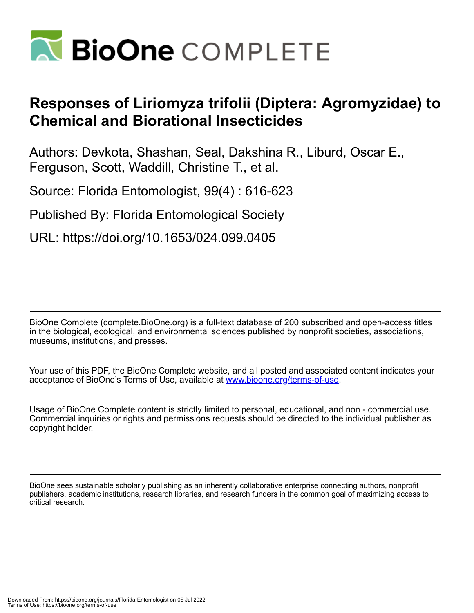

# **Responses of Liriomyza trifolii (Diptera: Agromyzidae) to Chemical and Biorational Insecticides**

Authors: Devkota, Shashan, Seal, Dakshina R., Liburd, Oscar E., Ferguson, Scott, Waddill, Christine T., et al.

Source: Florida Entomologist, 99(4) : 616-623

Published By: Florida Entomological Society

URL: https://doi.org/10.1653/024.099.0405

BioOne Complete (complete.BioOne.org) is a full-text database of 200 subscribed and open-access titles in the biological, ecological, and environmental sciences published by nonprofit societies, associations, museums, institutions, and presses.

Your use of this PDF, the BioOne Complete website, and all posted and associated content indicates your acceptance of BioOne's Terms of Use, available at www.bioone.org/terms-of-use.

Usage of BioOne Complete content is strictly limited to personal, educational, and non - commercial use. Commercial inquiries or rights and permissions requests should be directed to the individual publisher as copyright holder.

BioOne sees sustainable scholarly publishing as an inherently collaborative enterprise connecting authors, nonprofit publishers, academic institutions, research libraries, and research funders in the common goal of maximizing access to critical research.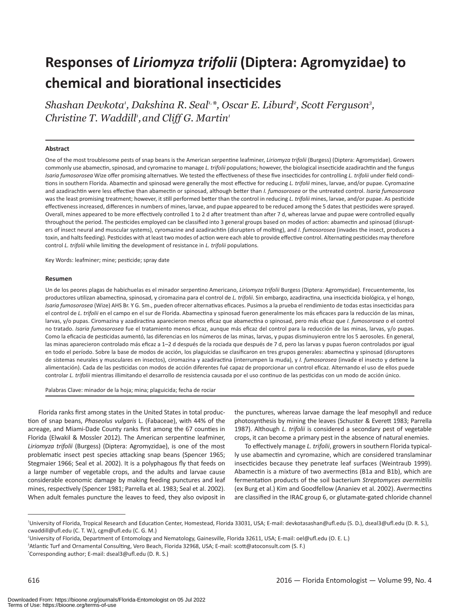# **Responses of** *Liriomyza trifolii* **(Diptera: Agromyzidae) to chemical and biorational insecticides**

*Shashan Devkota<sup>,</sup> Dakshina R. Seal<sup>ı,</sup>\*, Oscar E. Liburd<sup>2</sup>, Scott Ferguson<sup>3</sup>, Christine T. Waddill<sup>1</sup>, and Cliff G. Martin<sup>1</sup>* 

### **Abstract**

One of the most troublesome pests of snap beans is the American serpentine leafminer, *Liriomyza trifolii* (Burgess) (Diptera: Agromyzidae). Growers commonly use abamectin, spinosad, and cyromazine to manage *L. trifolii* populations; however, the biological insecticide azadirachtin and the fungus *Isaria fumosorosea* Wize offer promising alternatives*.* We tested the effectiveness of these five insecticides for controlling *L. trifolii* under field conditions in southern Florida. Abamectin and spinosad were generally the most effective for reducing *L. trifolii* mines, larvae, and/or pupae. Cyromazine and azadirachtin were less effective than abamectin or spinosad, although better than *I. fumosorosea* or the untreated control. *Isaria fumosorosea* was the least promising treatment; however, it still performed better than the control in reducing *L. trifolii* mines, larvae, and/or pupae. As pesticide effectiveness increased, differences in numbers of mines, larvae, and pupae appeared to be reduced among the 5 dates that pesticides were sprayed. Overall, mines appeared to be more effectively controlled 1 to 2 d after treatment than after 7 d, whereas larvae and pupae were controlled equally throughout the period. The pesticides employed can be classified into 3 general groups based on modes of action: abamectin and spinosad (disrupters of insect neural and muscular systems), cyromazine and azadirachtin (disrupters of molting), and *I. fumosorosea* (invades the insect, produces a toxin, and halts feeding). Pesticides with at least two modes of action were each able to provide effective control. Alternating pesticides may therefore control *L. trifolii* while limiting the development of resistance in *L. trifolii* populations.

Key Words: leafminer; mine; pesticide; spray date

#### **Resumen**

Un de los peores plagas de habichuelas es el minador serpentino Americano, *Liriomyza trifolii* Burgess (Diptera: Agromyzidae). Frecuentemente, los productores utilizan abamectina, spinosad, y ciromazina para el control de *L. trifolii*. Sin embargo, azadiractina, una insecticida biológica, y el hongo, *Isaria fumosorosea* (Wize) AHS Br. Y G. Sm., pueden ofrecer alternativas eficaces. Pusimos a la prueba el rendimiento de todas estas insecticidas para el control de *L. trifolii* en el campo en el sur de Florida. Abamectina y spinosad fueron generalmente los más eficaces para la reducción de las minas, larvas, y/o pupas. Ciromazina y azadiractina aparecieron menos eficaz que abamectina o spinosad, pero más eficaz que *I. fumosorosea* o el control no tratado. *Isaria fumosorosea* fue el tratamiento menos eficaz, aunque más eficaz del control para la reducción de las minas, larvas, y/o pupas. Como la eficacia de pesticidas aumentó, las diferencias en los números de las minas, larvas, y pupas disminuyieron entre los 5 aerosoles. En general, las minas aparecieron controlado más eficaz a 1–2 d después de la rociada que después de 7 d, pero las larvas y pupas fueron controlados por igual en todo el período. Sobre la base de modos de acción, los plaguicidas se clasificaron en tres grupos generales: abamectina y spinosad (disruptores de sistemas neurales y musculares en insectos), ciromazina y azadiractina (interrumpen la muda), y *I. fumosorosea* (invade el insecto y detiene la alimentación). Cada de las pesticidas con modos de acción diferentes fué capaz de proporcionar un control eficaz. Alternando el uso de ellos puede controlar *L. trifolii* mientras illimitando el desarrollo de resistencia causada por el uso continuo de las pesticidas con un modo de acción único.

Palabras Clave: minador de la hoja; mina; plaguicida; fecha de rociar

Florida ranks first among states in the United States in total production of snap beans, *Phaseolus vulgaris* L. (Fabaceae), with 44% of the acreage, and Miami-Dade County ranks first among the 67 counties in Florida (Elwakil & Mossler 2012). The American serpentine leafminer, *Liriomyza trifolii* (Burgess) (Diptera: Agromyzidae), is one of the most problematic insect pest species attacking snap beans (Spencer 1965; Stegmaier 1966; Seal et al. 2002). It is a polyphagous fly that feeds on a large number of vegetable crops, and the adults and larvae cause considerable economic damage by making feeding punctures and leaf mines, respectively (Spencer 1981; Parrella et al. 1983; Seal et al. 2002). When adult females puncture the leaves to feed, they also oviposit in

the punctures, whereas larvae damage the leaf mesophyll and reduce photosynthesis by mining the leaves (Schuster & Everett 1983; Parrella 1987). Although *L. trifolii* is considered a secondary pest of vegetable crops, it can become a primary pest in the absence of natural enemies.

To effectively manage *L. trifolii*, growers in southern Florida typically use abamectin and cyromazine, which are considered translaminar insecticides because they penetrate leaf surfaces (Weintraub 1999). Abamectin is a mixture of two avermectins (B1a and B1b), which are fermentation products of the soil bacterium *Streptomyces avermitilis* (ex Burg et al.) Kim and Goodfellow (Ananiev et al. 2002). Avermectins are classified in the IRAC group 6, or glutamate-gated chloride channel

<sup>1</sup> University of Florida, Tropical Research and Education Center, Homestead, Florida 33031, USA; E-mail: devkotasashan@ufl.edu (S. D.), dseal3@ufl.edu (D. R. S.), cwaddill@ufl.edu (C. T. W.), cgm@ufl.edu (C. G. M.)

<sup>2</sup> University of Florida, Department of Entomology and Nematology, Gainesville, Florida 32611, USA; E-mail: oel@ufl.edu (O. E. L.)

<sup>3</sup> Atlantic Turf and Ornamental Consulting, Vero Beach, Florida 32968, USA; E-mail: scott@atoconsult.com (S. F.)

<sup>\*</sup> Corresponding author; E-mail: dseal3@ufl.edu (D. R. S.)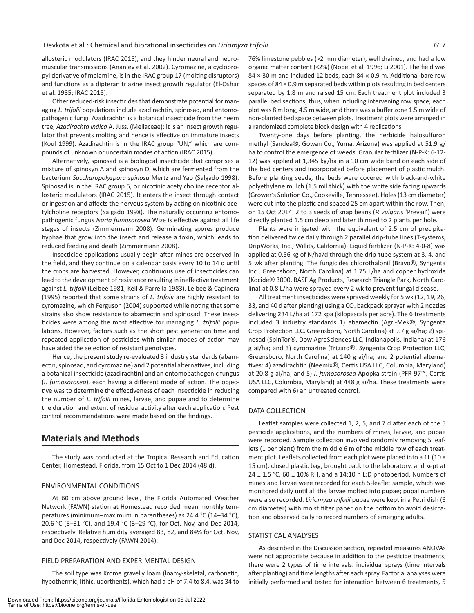allosteric modulators (IRAC 2015), and they hinder neural and neuromuscular transmissions (Ananiev et al. 2002). Cyromazine, a cyclopropyl derivative of melamine, is in the IRAC group 17 (molting disruptors) and functions as a dipteran triazine insect growth regulator (El-Oshar et al. 1985; IRAC 2015).

Other reduced-risk insecticides that demonstrate potential for managing *L. trifolii* populations include azadirachtin, spinosad, and entomopathogenic fungi. Azadirachtin is a botanical insecticide from the neem tree, *Azadirachta indica* A. Juss. (Meliaceae); it is an insect growth regulator that prevents molting and hence is effective on immature insects (Koul 1999). Azadirachtin is in the IRAC group "UN," which are compounds of unknown or uncertain modes of action (IRAC 2015).

Alternatively, spinosad is a biological insecticide that comprises a mixture of spinosyn A and spinosyn D, which are fermented from the bacterium *Saccharopolyspora spinosa* Mertz and Yao (Salgado 1998). Spinosad is in the IRAC group 5, or nicotinic acetylcholine receptor allosteric modulators (IRAC 2015). It enters the insect through contact or ingestion and affects the nervous system by acting on nicotinic acetylcholine receptors (Salgado 1998). The naturally occurring entomopathogenic fungus *Isaria fumosorosea* Wize is effective against all life stages of insects (Zimmermann 2008). Germinating spores produce hyphae that grow into the insect and release a toxin, which leads to reduced feeding and death (Zimmermann 2008).

Insecticide applications usually begin after mines are observed in the field, and they continue on a calendar basis every 10 to 14 d until the crops are harvested. However, continuous use of insecticides can lead to the development of resistance resulting in ineffective treatment against *L. trifolii* (Leibee 1981; Keil & Parrella 1983). Leibee & Capinera (1995) reported that some strains of *L. trifolii* are highly resistant to cyromazine, which Ferguson (2004) supported while noting that some strains also show resistance to abamectin and spinosad. These insecticides were among the most effective for managing *L. trifolii* populations. However, factors such as the short pest generation time and repeated application of pesticides with similar modes of action may have aided the selection of resistant genotypes.

Hence, the present study re-evaluated 3 industry standards (abamectin, spinosad, and cyromazine) and 2 potential alternatives, including a botanical insecticide (azadirachtin) and an entomopathogenic fungus (*I. fumosorosea*), each having a different mode of action. The objective was to determine the effectiveness of each insecticide in reducing the number of *L. trifolii* mines, larvae, and pupae and to determine the duration and extent of residual activity after each application. Pest control recommendations were made based on the findings.

# **Materials and Methods**

The study was conducted at the Tropical Research and Education Center, Homestead, Florida, from 15 Oct to 1 Dec 2014 (48 d).

#### ENVIRONMENTAL CONDITIONS

At 60 cm above ground level, the Florida Automated Weather Network (FAWN) station at Homestead recorded mean monthly temperatures (minimum–maximum in parentheses) as 24.4 °C (14–34 °C), 20.6 °C (8–31 °C), and 19.4 °C (3–29 °C), for Oct, Nov, and Dec 2014, respectively. Relative humidity averaged 83, 82, and 84% for Oct, Nov, and Dec 2014, respectively (FAWN 2014).

# FIELD PREPARATION AND EXPERIMENTAL DESIGN

The soil type was Krome gravelly loam (loamy-skeletal, carbonatic, hypothermic, lithic, udorthents), which had a pH of 7.4 to 8.4, was 34 to

76% limestone pebbles (>2 mm diameter), well drained, and had a low organic matter content (<2%) (Nobel et al. 1996; Li 2001). The field was  $84 \times 30$  m and included 12 beds, each  $84 \times 0.9$  m. Additional bare row spaces of 84 × 0.9 m separated beds within plots resulting in bed centers separated by 1.8 m and raised 15 cm. Each treatment plot included 3 parallel bed sections; thus, when including intervening row space, each plot was 8 m long, 4.5 m wide, and there was a buffer zone 1.5 m wide of non-planted bed space between plots. Treatment plots were arranged in a randomized complete block design with 4 replications.

Twenty-one days before planting, the herbicide halosulfuron methyl (Sandea®, Gowan Co., Yuma, Arizona) was applied at 51.9 g/ ha to control the emergence of weeds. Granular fertilizer (N-P-K: 6-12- 12) was applied at 1,345 kg/ha in a 10 cm wide band on each side of the bed centers and incorporated before placement of plastic mulch. Before planting seeds, the beds were covered with black-and-white polyethylene mulch (1.5 mil thick) with the white side facing upwards (Grower's Solution Co., Cookeville, Tennessee). Holes (13 cm diameter) were cut into the plastic and spaced 25 cm apart within the row. Then, on 15 Oct 2014, 2 to 3 seeds of snap beans (*P. vulgaris* 'Prevail') were directly planted 1.5 cm deep and later thinned to 2 plants per hole.

Plants were irrigated with the equivalent of 2.5 cm of precipitation delivered twice daily through 2 parallel drip-tube lines (T-systems, DripWorks, Inc., Willits, California). Liquid fertilizer (N-P-K: 4-0-8) was applied at 0.56 kg of N/ha/d through the drip-tube system at 3, 4, and 5 wk after planting. The fungicides chlorothalonil (Bravo®, Syngenta Inc., Greensboro, North Carolina) at 1.75 L/ha and copper hydroxide (Kocide® 3000, BASF Ag Products, Research Triangle Park, North Carolina) at 0.8 L/ha were sprayed every 2 wk to prevent fungal disease.

All treatment insecticides were sprayed weekly for 5 wk (12, 19, 26, 33, and 40 d after planting) using a CO<sub>2</sub> backpack sprayer with 2 nozzles delivering 234 L/ha at 172 kpa (kilopascals per acre). The 6 treatments included 3 industry standards 1) abamectin (Agri-Mek®, Syngenta Crop Protection LLC, Greensboro, North Carolina) at 9.7 g ai/ha; 2) spinosad (SpinTor®, Dow AgroSciences LLC, Indianapolis, Indiana) at 176 g ai/ha; and 3) cyromazine (Trigard®, Syngenta Crop Protection LLC, Greensboro, North Carolina) at 140 g ai/ha; and 2 potential alternatives: 4) azadirachtin (Neemix®, Certis USA LLC, Columbia, Maryland) at 20.8 g ai/ha; and 5) *I. fumosorosea* Apopka strain (PFR-97™, Certis USA LLC, Columbia, Maryland) at 448 g ai/ha. These treatments were compared with 6) an untreated control.

## DATA COLLECTION

Leaflet samples were collected 1, 2, 5, and 7 d after each of the 5 pesticide applications, and the numbers of mines, larvae, and pupae were recorded. Sample collection involved randomly removing 5 leaflets (1 per plant) from the middle 6 m of the middle row of each treatment plot. Leaflets collected from each plot were placed into a 1L (10  $\times$ 15 cm), closed plastic bag, brought back to the laboratory, and kept at 24  $\pm$  1.5 °C, 60  $\pm$  10% RH, and a 14:10 h L:D photoperiod. Numbers of mines and larvae were recorded for each 5-leaflet sample, which was monitored daily until all the larvae molted into pupae; pupal numbers were also recorded. *Liriomyza trifolii* pupae were kept in a Petri dish (6 cm diameter) with moist filter paper on the bottom to avoid desiccation and observed daily to record numbers of emerging adults.

## STATISTICAL ANALYSES

As described in the Discussion section, repeated measures ANOVAs were not appropriate because in addition to the pesticide treatments, there were 2 types of time intervals: individual sprays (time intervals after planting) and time lengths after each spray. Factorial analyses were initially performed and tested for interaction between 6 treatments, 5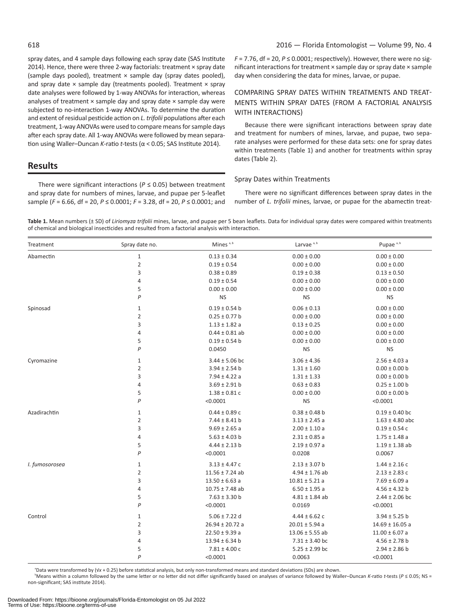spray dates, and 4 sample days following each spray date (SAS Institute 2014). Hence, there were three 2-way factorials: treatment × spray date (sample days pooled), treatment  $\times$  sample day (spray dates pooled), and spray date  $\times$  sample day (treatments pooled). Treatment  $\times$  spray date analyses were followed by 1-way ANOVAs for interaction, whereas analyses of treatment  $\times$  sample day and spray date  $\times$  sample day were subjected to no-interaction 1-way ANOVAs. To determine the duration and extent of residual pesticide action on *L. trifolii* populations after each treatment, 1-way ANOVAs were used to compare means for sample days after each spray date. All 1-way ANOVAs were followed by mean separation using Waller–Duncan *K*-ratio *t-*tests (α < 0.05; SAS Institute 2014).

# **Results**

There were significant interactions ( $P \leq 0.05$ ) between treatment and spray date for numbers of mines, larvae, and pupae per 5-leaflet sample (*F* = 6.66, df = 20, *P* ≤ 0.0001; *F* = 3.28, df = 20, *P* ≤ 0.0001; and *F* = 7.76, df = 20, *P* ≤ 0.0001; respectively). However, there were no significant interactions for treatment × sample day or spray date × sample day when considering the data for mines, larvae, or pupae.

# COMPARING SPRAY DATES WITHIN TREATMENTS AND TREAT-MENTS WITHIN SPRAY DATES (FROM A FACTORIAL ANALYSIS WITH INTERACTIONS)

Because there were significant interactions between spray date and treatment for numbers of mines, larvae, and pupae, two separate analyses were performed for these data sets: one for spray dates within treatments (Table 1) and another for treatments within spray dates (Table 2).

# Spray Dates within Treatments

There were no significant differences between spray dates in the number of *L. trifolii* mines, larvae, or pupae for the abamectin treat-

**Table 1.** Mean numbers (± SD) of *Liriomyza trifolii* mines, larvae, and pupae per 5 bean leaflets. Data for individual spray dates were compared within treatments of chemical and biological insecticides and resulted from a factorial analysis with interaction.

| Treatment      | Spray date no. | Mines <sup>a, b</sup> | Larvae <sup>a, b</sup> | Pupae <sup>a, b</sup> |
|----------------|----------------|-----------------------|------------------------|-----------------------|
| Abamectin      | $\mathbf 1$    | $0.13 \pm 0.34$       | $0.00 \pm 0.00$        | $0.00 \pm 0.00$       |
|                | $\overline{2}$ | $0.19 \pm 0.54$       | $0.00 \pm 0.00$        | $0.00 \pm 0.00$       |
|                | 3              | $0.38 \pm 0.89$       | $0.19 \pm 0.38$        | $0.13 \pm 0.50$       |
|                | $\overline{4}$ | $0.19 \pm 0.54$       | $0.00 \pm 0.00$        | $0.00 \pm 0.00$       |
|                | 5              | $0.00 \pm 0.00$       | $0.00 \pm 0.00$        | $0.00 \pm 0.00$       |
|                | P              | <b>NS</b>             | <b>NS</b>              | <b>NS</b>             |
| Spinosad       | $\mathbf{1}$   | $0.19 \pm 0.54$ b     | $0.06 \pm 0.13$        | $0.00 \pm 0.00$       |
|                | $\overline{2}$ | $0.25 \pm 0.77$ b     | $0.00 \pm 0.00$        | $0.00 \pm 0.00$       |
|                | 3              | $1.13 \pm 1.82$ a     | $0.13 \pm 0.25$        | $0.00 \pm 0.00$       |
|                | $\overline{4}$ | $0.44 \pm 0.81$ ab    | $0.00 \pm 0.00$        | $0.00 \pm 0.00$       |
|                | 5              | $0.19 \pm 0.54$ b     | $0.00 \pm 0.00$        | $0.00 \pm 0.00$       |
|                | P              | 0.0450                | <b>NS</b>              | <b>NS</b>             |
| Cyromazine     | $\mathbf{1}$   | $3.44 \pm 5.06$ bc    | $3.06 \pm 4.36$        | $2.56 \pm 4.03$ a     |
|                | $\overline{2}$ | $3.94 \pm 2.54$ b     | $1.31 \pm 1.60$        | $0.00 \pm 0.00$ b     |
|                | 3              | $7.94 \pm 4.22$ a     | $1.31 \pm 1.33$        | $0.00 \pm 0.00$ b     |
|                | $\overline{4}$ | $3.69 \pm 2.91$ b     | $0.63 \pm 0.83$        | $0.25 \pm 1.00$ b     |
|                | 5              | $1.38 \pm 0.81$ C     | $0.00 \pm 0.00$        | $0.00 \pm 0.00$ b     |
|                | $\mathsf{P}$   | < 0.0001              | <b>NS</b>              | < 0.0001              |
| Azadirachtin   | $\mathbf{1}$   | $0.44 \pm 0.89$ c     | $0.38 \pm 0.48$ b      | $0.19 \pm 0.40$ bc    |
|                | $\overline{2}$ | $7.44 \pm 8.41$ b     | $3.13 \pm 2.45$ a      | $1.63 \pm 4.80$ abc   |
|                | 3              | $9.69 \pm 2.65$ a     | $2.00 \pm 1.10$ a      | $0.19 \pm 0.54$ c     |
|                | $\overline{4}$ | $5.63 \pm 4.03$ b     | $2.31 \pm 0.85$ a      | $1.75 \pm 1.48$ a     |
|                | 5              | $4.44 \pm 2.13$ b     | $2.19 \pm 0.97$ a      | $1.19 \pm 1.38$ ab    |
|                | $\mathsf{P}$   | < 0.0001              | 0.0208                 | 0.0067                |
| I. fumosorosea | $\mathbf{1}$   | $3.13 \pm 4.47$ c     | $2.13 \pm 3.07$ b      | $1.44 \pm 2.16$ C     |
|                | $\overline{2}$ | $11.56 \pm 7.24$ ab   | $4.94 \pm 1.76$ ab     | $2.13 \pm 2.83$ c     |
|                | 3              | $13.50 \pm 6.63$ a    | $10.81 \pm 5.21$ a     | $7.69 \pm 6.09$ a     |
|                | $\overline{4}$ | $10.75 \pm 7.48$ ab   | $6.50 \pm 1.95$ a      | $4.56 \pm 4.32$ b     |
|                | 5              | $7.63 \pm 3.30$ b     | $4.81 \pm 1.84$ ab     | $2.44 \pm 2.06$ bc    |
|                | P              | < 0.0001              | 0.0169                 | < 0.0001              |
| Control        | $\mathbf{1}$   | $5.06 \pm 7.22$ d     | $4.44 \pm 6.62$ c      | $3.94 \pm 5.25$ b     |
|                | $\overline{2}$ | $26.94 \pm 20.72$ a   | $20.01 \pm 5.94$ a     | $14.69 \pm 16.05$ a   |
|                | 3              | $22.50 \pm 9.39$ a    | $13.06 \pm 5.55$ ab    | $11.00 \pm 6.07$ a    |
|                | $\sqrt{4}$     | $13.94 \pm 6.34$ b    | $7.31 \pm 3.40$ bc     | $4.56 \pm 2.78$ b     |
|                | 5              | $7.81 \pm 4.00$ c     | $5.25 \pm 2.99$ bc     | $2.94 \pm 2.86$ b     |
|                | P              | < 0.0001              | 0.0063                 | < 0.0001              |

a Data were transformed by (√*x* + 0.25) before statistical analysis, but only non-transformed means and standard deviations (SDs) are shown.

b Means within a column followed by the same letter or no letter did not differ significantly based on analyses of variance followed by Waller–Duncan *K*-ratio *t-*tests (*P* ≤ 0.05; NS = non-significant; SAS institute 2014).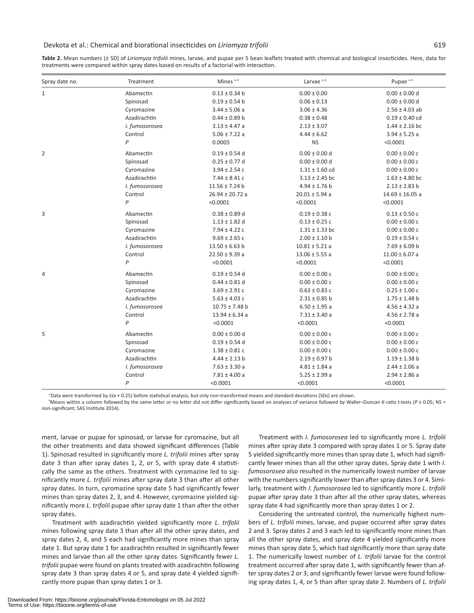#### Devkota et al.: Chemical and biorational insecticides on *Liriomyza trifolii* 619

**Table 2.** Mean numbers (± SD) of *Liriomyza trifolii* mines, larvae, and pupae per 5 bean leaflets treated with chemical and biological insecticides. Here, data for treatments were compared within spray dates based on results of a factorial with interaction.

| Spray date no. | Treatment      | Mines <sup>a, b</sup> | Larvae <sup>a, b</sup> | Pupae <sup>a, b</sup> |
|----------------|----------------|-----------------------|------------------------|-----------------------|
| $\mathbf{1}$   | Abamectin      | $0.13 \pm 0.34$ b     | $0.00 \pm 0.00$        | $0.00 \pm 0.00$ d     |
|                | Spinosad       | $0.19 \pm 0.54$ b     | $0.06 \pm 0.13$        | $0.00 \pm 0.00$ d     |
|                | Cyromazine     | $3.44 \pm 5.06$ a     | $3.06 \pm 4.36$        | $2.56 \pm 4.03$ ab    |
|                | Azadirachtin   | $0.44 \pm 0.89$ b     | $0.38 \pm 0.48$        | $0.19 \pm 0.40$ cd    |
|                | I. fumosorosea | $3.13 \pm 4.47$ a     | $2.13 \pm 3.07$        | $1.44 \pm 2.16$ bc    |
|                | Control        | $5.06 \pm 7.22$ a     | $4.44 \pm 6.62$        | $3.94 \pm 5.25$ a     |
|                | $\mathsf{P}$   | 0.0005                | <b>NS</b>              | < 0.0001              |
| $\overline{2}$ | Abamectin      | $0.19 \pm 0.54$ d     | $0.00 \pm 0.00$ d      | $0.00 \pm 0.00$ c     |
|                | Spinosad       | $0.25 \pm 0.77$ d     | $0.00 \pm 0.00$ d      | $0.00 \pm 0.00$ c     |
|                | Cyromazine     | $3.94 \pm 2.54$ c     | $1.31 \pm 1.60$ cd     | $0.00 \pm 0.00$ c     |
|                | Azadirachtin   | $7.44 \pm 8.41$ c     | $3.13 \pm 2.45$ bc     | $1.63 \pm 4.80$ bc    |
|                | I. fumosorosea | $11.56 \pm 7.24$ b    | $4.94 \pm 1.76$ b      | $2.13 \pm 2.83$ b     |
|                | Control        | $26.94 \pm 20.72$ a   | $20.01 \pm 5.94$ a     | $14.69 \pm 16.05$ a   |
|                | P              | < 0.0001              | < 0.0001               | < 0.0001              |
| 3              | Abamectin      | $0.38 \pm 0.89$ d     | $0.19 \pm 0.38$ c      | $0.13 \pm 0.50$ c     |
|                | Spinosad       | $1.13 \pm 1.82$ d     | $0.13 \pm 0.25$ c      | $0.00 \pm 0.00$ c     |
|                | Cyromazine     | $7.94 \pm 4.22$ c     | $1.31 \pm 1.33$ bc     | $0.00 \pm 0.00$ c     |
|                | Azadirachtin   | $9.69 \pm 2.65$ c     | $2.00 \pm 1.10$ b      | $0.19 \pm 0.54$ c     |
|                | I. fumosorosea | $13.50 \pm 6.63$ b    | $10.81 \pm 5.21$ a     | $7.69 \pm 6.09$ b     |
|                | Control        | $22.50 \pm 9.39$ a    | $13.06 \pm 5.55$ a     | $11.00 \pm 6.07$ a    |
|                | P              | < 0.0001              | < 0.0001               | < 0.0001              |
| $\overline{4}$ | Abamectin      | $0.19 \pm 0.54$ d     | $0.00 \pm 0.00$ c      | $0.00 \pm 0.00$ c     |
|                | Spinosad       | $0.44 \pm 0.81$ d     | $0.00 \pm 0.00 c$      | $0.00 \pm 0.00 c$     |
|                | Cyromazine     | $3.69 \pm 2.91$ c     | $0.63 \pm 0.83$ c      | $0.25 \pm 1.00$ c     |
|                | Azadirachtin   | $5.63 \pm 4.03$ c     | $2.31 \pm 0.85$ b      | $1.75 \pm 1.48$ b     |
|                | I. fumosorosea | $10.75 \pm 7.48$ b    | $6.50 \pm 1.95$ a      | $4.56 \pm 4.32$ a     |
|                | Control        | $13.94 \pm 6.34$ a    | $7.31 \pm 3.40$ a      | $4.56 \pm 2.78$ a     |
|                | P              | < 0.0001              | < 0.0001               | < 0.0001              |
| 5              | Abamectin      | $0.00 \pm 0.00$ d     | $0.00 \pm 0.00 c$      | $0.00 \pm 0.00 c$     |
|                | Spinosad       | $0.19 \pm 0.54$ d     | $0.00 \pm 0.00$ c      | $0.00 \pm 0.00 c$     |
|                | Cyromazine     | $1.38 \pm 0.81c$      | $0.00 \pm 0.00 c$      | $0.00 \pm 0.00 c$     |
|                | Azadirachtin   | $4.44 \pm 2.13$ b     | $2.19 \pm 0.97$ b      | $1.19 \pm 1.38$ b     |
|                | I. fumosorosea | $7.63 \pm 3.30$ a     | $4.81 \pm 1.84$ a      | $2.44 \pm 2.06$ a     |
|                | Control        | $7.81 \pm 4.00$ a     | $5.25 \pm 2.99$ a      | $2.94 \pm 2.86$ a     |
|                | P              | < 0.0001              | < 0.0001               | < 0.0001              |

<sup>a</sup>Data were transformed by (√*x* + 0.25) before statistical analysis, but only non-transformed means and standard deviations (SDs) are shown.

b Means within a column followed by the same letter or no letter did not differ significantly based on analyses of variance followed by Waller–Duncan *K*-ratio *t-*tests (*P* ≥ 0.05; NS = non-significant; SAS Institute 2014).

ment, larvae or pupae for spinosad, or larvae for cyromazine, but all the other treatments and data showed significant differences (Table 1). Spinosad resulted in significantly more *L. trifolii* mines after spray date 3 than after spray dates 1, 2, or 5, with spray date 4 statistically the same as the others. Treatment with cyromazine led to significantly more *L. trifolii* mines after spray date 3 than after all other spray dates. In turn, cyromazine spray date 5 had significantly fewer mines than spray dates 2, 3, and 4. However, cyromazine yielded significantly more *L. trifolii* pupae after spray date 1 than after the other spray dates.

Treatment with azadirachtin yielded significantly more *L. trifolii* mines following spray date 3 than after all the other spray dates, and spray dates 2, 4, and 5 each had significantly more mines than spray date 1. But spray date 1 for azadirachtin resulted in significantly fewer mines and larvae than all the other spray dates. Significantly fewer *L. trifolii* pupae were found on plants treated with azadirachtin following spray date 3 than spray dates 4 or 5, and spray date 4 yielded significantly more pupae than spray dates 1 or 3.

Treatment with *I. fumosorosea* led to significantly more *L. trifolii* mines after spray date 3 compared with spray dates 1 or 5. Spray date 5 yielded significantly more mines than spray date 1, which had significantly fewer mines than all the other spray dates. Spray date 1 with *I. fumosorosea* also resulted in the numerically lowest number of larvae with the numbers significantly lower than after spray dates 3 or 4. Similarly, treatment with *I. fumosorosea* led to significantly more *L. trifolii* pupae after spray date 3 than after all the other spray dates, whereas spray date 4 had significantly more than spray dates 1 or 2.

Considering the untreated control, the numerically highest numbers of *L. trifolii* mines, larvae, and pupae occurred after spray dates 2 and 3. Spray dates 2 and 3 each led to significantly more mines than all the other spray dates, and spray date 4 yielded significantly more mines than spray date 5, which had significantly more than spray date 1. The numerically lowest number of *L. trifolii* larvae for the control treatment occurred after spray date 1, with significantly fewer than after spray dates 2 or 3; and significantly fewer larvae were found following spray dates 1, 4, or 5 than after spray date 2. Numbers of *L. trifolii*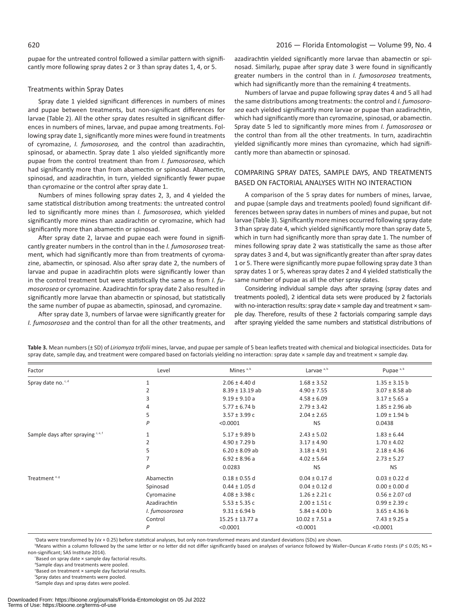pupae for the untreated control followed a similar pattern with significantly more following spray dates 2 or 3 than spray dates 1, 4, or 5.

### Treatments within Spray Dates

Spray date 1 yielded significant differences in numbers of mines and pupae between treatments, but non-significant differences for larvae (Table 2). All the other spray dates resulted in significant differences in numbers of mines, larvae, and pupae among treatments. Following spray date 1, significantly more mines were found in treatments of cyromazine, *I. fumosorosea,* and the control than azadirachtin, spinosad, or abamectin. Spray date 1 also yielded significantly more pupae from the control treatment than from *I. fumosorosea*, which had significantly more than from abamectin or spinosad. Abamectin, spinosad, and azadirachtin, in turn, yielded significantly fewer pupae than cyromazine or the control after spray date 1.

Numbers of mines following spray dates 2, 3, and 4 yielded the same statistical distribution among treatments: the untreated control led to significantly more mines than *I. fumosorosea*, which yielded significantly more mines than azadirachtin or cyromazine, which had significantly more than abamectin or spinosad.

After spray date 2, larvae and pupae each were found in significantly greater numbers in the control than in the *I. fumosorosea* treatment*,* which had significantly more than from treatments of cyromazine, abamectin, or spinosad. Also after spray date 2, the numbers of larvae and pupae in azadirachtin plots were significantly lower than in the control treatment but were statistically the same as from *I. fumosorosea* or cyromazine. Azadirachtin for spray date 2 also resulted in significantly more larvae than abamectin or spinosad, but statistically the same number of pupae as abamectin, spinosad, and cyromazine.

After spray date 3, numbers of larvae were significantly greater for *I. fumosorosea* and the control than for all the other treatments, and

azadirachtin yielded significantly more larvae than abamectin or spinosad. Similarly, pupae after spray date 3 were found in significantly greater numbers in the control than in *I. fumosorosea* treatments*,*  which had significantly more than the remaining 4 treatments.

Numbers of larvae and pupae following spray dates 4 and 5 all had the same distributions among treatments: the control and *I. fumosorosea* each yielded significantly more larvae or pupae than azadirachtin, which had significantly more than cyromazine, spinosad, or abamectin. Spray date 5 led to significantly more mines from *I. fumosorosea* or the control than from all the other treatments. In turn, azadirachtin yielded significantly more mines than cyromazine, which had significantly more than abamectin or spinosad.

# COMPARING SPRAY DATES, SAMPLE DAYS, AND TREATMENTS BASED ON FACTORIAL ANALYSES WITH NO INTERACTION

A comparison of the 5 spray dates for numbers of mines, larvae, and pupae (sample days and treatments pooled) found significant differences between spray dates in numbers of mines and pupae, but not larvae (Table 3). Significantly more mines occurred following spray date 3 than spray date 4, which yielded significantly more than spray date 5, which in turn had significantly more than spray date 1. The number of mines following spray date 2 was statistically the same as those after spray dates 3 and 4, but was significantly greater than after spray dates 1 or 5. There were significantly more pupae following spray date 3 than spray dates 1 or 5, whereas spray dates 2 and 4 yielded statistically the same number of pupae as all the other spray dates.

Considering individual sample days after spraying (spray dates and treatments pooled), 2 identical data sets were produced by 2 factorials with no-interaction results: spray date × sample day and treatment × sample day. Therefore, results of these 2 factorials comparing sample days after spraying yielded the same numbers and statistical distributions of

| Factor                                        | Level          | Mines $a, b$        | Larvae <sup>a, b</sup> | Pupae <sup>a, b</sup> |
|-----------------------------------------------|----------------|---------------------|------------------------|-----------------------|
| Spray date no. <sup>c, d</sup>                | 1              | $2.06 \pm 4.40$ d   | $1.68 \pm 3.52$        | $1.35 \pm 3.15$ b     |
|                                               | 2              | $8.39 \pm 13.19$ ab | $4.90 \pm 7.55$        | $3.07 \pm 8.58$ ab    |
|                                               | 3              | $9.19 \pm 9.10$ a   | $4.58 \pm 6.09$        | $3.17 \pm 5.65$ a     |
|                                               | 4              | $5.77 \pm 6.74$ b   | $2.79 \pm 3.42$        | $1.85 \pm 2.96$ ab    |
|                                               | 5              | $3.57 \pm 3.99$ c   | $2.04 \pm 2.65$        | $1.09 \pm 1.94$ b     |
|                                               | P              | < 0.0001            | <b>NS</b>              | 0.0438                |
| Sample days after spraying <sup>c, e, f</sup> | 1              | $5.17 \pm 9.89$ b   | $2.43 \pm 5.02$        | $1.83 \pm 6.44$       |
|                                               | 2              | $4.90 \pm 7.29$ b   | $3.17 \pm 4.90$        | $1.70 \pm 4.02$       |
|                                               | 5              | $6.20 \pm 8.09$ ab  | $3.18 \pm 4.91$        | $2.18 \pm 4.36$       |
|                                               | 7              | $6.92 \pm 8.96$ a   | $4.02 \pm 5.64$        | $2.73 \pm 5.27$       |
|                                               | P              | 0.0283              | <b>NS</b>              | <b>NS</b>             |
| Treatment <sup>e, g</sup>                     | Abamectin      | $0.18 \pm 0.55$ d   | $0.04 \pm 0.17$ d      | $0.03 \pm 0.22$ d     |
|                                               | Spinosad       | $0.44 \pm 1.05$ d   | $0.04 \pm 0.12$ d      | $0.00 \pm 0.00$ d     |
|                                               | Cyromazine     | $4.08 \pm 3.98$ c   | $1.26 \pm 2.21$ c      | $0.56 \pm 2.07$ cd    |
|                                               | Azadirachtin   | $5.53 \pm 5.35$ c   | $2.00 \pm 1.51$ c      | $0.99 \pm 2.39$ c     |
|                                               | I. fumosorosea | $9.31 \pm 6.94$ b   | $5.84 \pm 4.00$ b      | $3.65 \pm 4.36$ b     |
|                                               | Control        | $15.25 \pm 13.77$ a | $10.02 \pm 7.51$ a     | $7.43 \pm 9.25$ a     |
|                                               | P              | < 0.0001            | < 0.0001               | < 0.0001              |

**Table 3.** Mean numbers (± SD) of *Liriomyza trifolii* mines, larvae, and pupae per sample of 5 bean leaflets treated with chemical and biological insecticides. Data for spray date, sample day, and treatment were compared based on factorials yielding no interaction: spray date × sample day and treatment × sample day.

a Data were transformed by (√*x* + 0.25) before statistical analyses, but only non-transformed means and standard deviations (SDs) are shown.

b Means within a column followed by the same letter or no letter did not differ significantly based on analyses of variance followed by Waller–Duncan *K*-ratio *t-*tests (*P* ≤ 0.05; NS = non-significant; SAS Institute 2014).

c Based on spray date × sample day factorial results.

<sup>d</sup>Sample days and treatments were pooled.

e Based on treatment × sample day factorial results.

f Spray dates and treatments were pooled. <sup>8</sup>Sample days and spray dates were pooled.

Downloaded From: https://bioone.org/journals/Florida-Entomologist on 05 Jul 2022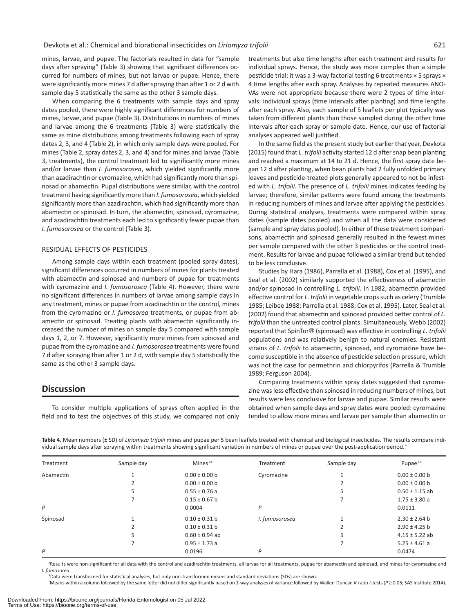mines, larvae, and pupae. The factorials resulted in data for "sample days after spraying" (Table 3) showing that significant differences occurred for numbers of mines, but not larvae or pupae. Hence, there were significantly more mines 7 d after spraying than after 1 or 2 d with sample day 5 statistically the same as the other 3 sample days.

When comparing the 6 treatments with sample days and spray dates pooled, there were highly significant differences for numbers of mines, larvae, and pupae (Table 3). Distributions in numbers of mines and larvae among the 6 treatments (Table 3) were statistically the same as mine distributions among treatments following each of spray dates 2, 3, and 4 (Table 2), in which only sample days were pooled. For mines (Table 2, spray dates 2, 3, and 4) and for mines and larvae (Table 3, treatments), the control treatment led to significantly more mines and/or larvae than *I. fumosorosea*, which yielded significantly more than azadirachtin or cyromazine, which had significantly more than spinosad or abamectin. Pupal distributions were similar, with the control treatment having significantly more than *I. fumosorosea*, which yielded significantly more than azadirachtin, which had significantly more than abamectin or spinosad. In turn, the abamectin, spinosad, cyromazine, and azadirachtin treatments each led to significantly fewer pupae than *I. fumosorosea* or the control (Table 3).

# RESIDUAL EFFECTS OF PESTICIDES

Among sample days within each treatment (pooled spray dates), significant differences occurred in numbers of mines for plants treated with abamectin and spinosad and numbers of pupae for treatments with cyromazine and *I. fumosorosea* (Table 4). However, there were no significant differences in numbers of larvae among sample days in any treatment, mines or pupae from azadirachtin or the control, mines from the cyromazine or *I. fumosorea* treatments*,* or pupae from abamectin or spinosad. Treating plants with abamectin significantly increased the number of mines on sample day 5 compared with sample days 1, 2, or 7. However, significantly more mines from spinosad and pupae from the cyromazine and *I. fumosorosea* treatments were found 7 d after spraying than after 1 or 2 d, with sample day 5 statistically the same as the other 3 sample days.

# **Discussion**

To consider multiple applications of sprays often applied in the field and to test the objectives of this study, we compared not only treatments but also time lengths after each treatment and results for individual sprays. Hence, the study was more complex than a simple pesticide trial: it was a 3-way factorial testing 6 treatments × 5 sprays × 4 time lengths after each spray. Analyses by repeated measures ANO-VAs were not appropriate because there were 2 types of time intervals: individual sprays (time intervals after planting) and time lengths after each spray. Also, each sample of 5 leaflets per plot typically was taken from different plants than those sampled during the other time intervals after each spray or sample date. Hence, our use of factorial analyses appeared well justified.

In the same field as the present study but earlier that year, Devkota (2015) found that *L. trifolii* activity started 12 d after snap bean planting and reached a maximum at 14 to 21 d. Hence, the first spray date began 12 d after planting, when bean plants had 2 fully unfolded primary leaves and pesticide-treated plots generally appeared to not be infested with *L. trifolii*. The presence of *L. trifolii* mines indicates feeding by larvae; therefore, similar patterns were found among the treatments in reducing numbers of mines and larvae after applying the pesticides. During statistical analyses, treatments were compared within spray dates (sample dates pooled) and when all the data were considered (sample and spray dates pooled). In either of these treatment comparisons, abamectin and spinosad generally resulted in the fewest mines per sample compared with the other 3 pesticides or the control treatment. Results for larvae and pupae followed a similar trend but tended to be less conclusive.

Studies by Hara (1986), Parrella et al. (1988), Cox et al. (1995), and Seal et al. (2002) similarly supported the effectiveness of abamectin and/or spinosad in controlling *L. trifolii*. In 1982, abamectin provided effective control for *L. trifolii* in vegetable crops such as celery (Trumble 1985; Leibee 1988; Parrella et al. 1988; Cox et al. 1995). Later, Seal et al. (2002) found that abamectin and spinosad provided better control of *L. trifolii* than the untreated control plants. Simultaneously, Webb (2002) reported that SpinTor® (spinosad) was effective in controlling *L. trifolii* populations and was relatively benign to natural enemies. Resistant strains of *L. trifolii* to abamectin, spinosad, and cyromazine have become susceptible in the absence of pesticide selection pressure, which was not the case for permethrin and chlorpyrifos (Parrella & Trumble 1989; Ferguson 2004).

Comparing treatments within spray dates suggested that cyromazine was less effective than spinosad in reducing numbers of mines, but results were less conclusive for larvae and pupae. Similar results were obtained when sample days and spray dates were pooled: cyromazine tended to allow more mines and larvae per sample than abamectin or

**Table 4.** Mean numbers (± SD) of *Liriomyza trifolii* mines and pupae per 5 bean leaflets treated with chemical and biological insecticides. The results compare individual sample days after spraying within treatments showing significant variation in numbers of mines or pupae over the post-application period.<sup>8</sup>

| Treatment | Sample day | Mines <sup>b,c</sup> | Treatment      | Sample day | Pupae <sup>b,c</sup> |
|-----------|------------|----------------------|----------------|------------|----------------------|
| Abamectin |            | $0.00 \pm 0.00$ b    | Cyromazine     |            | $0.00 \pm 0.00$ b    |
|           |            | $0.00 \pm 0.00$ b    |                |            | $0.00 \pm 0.00$ b    |
|           | 5          | $0.55 \pm 0.76$ a    |                |            | $0.50 \pm 1.15$ ab   |
|           |            | $0.15 \pm 0.67$ b    |                |            | $1.75 \pm 3.80$ a    |
| P         |            | 0.0004               | P              |            | 0.0111               |
| Spinosad  |            | $0.10 \pm 0.31$ b    | I. fumosorosea |            | $2.30 \pm 2.64$ b    |
|           |            | $0.10 \pm 0.31$ b    |                |            | $2.90 \pm 4.25$ b    |
|           | 5          | $0.60 \pm 0.94$ ab   |                |            | $4.15 \pm 5.22$ ab   |
|           |            | $0.95 \pm 1.73$ a    |                |            | $5.25 \pm 4.61$ a    |
| P         |            | 0.0196               | P              |            | 0.0474               |

<sup>a</sup>Results were non-significant for all data with the control and azadirachtin treatments, all larvae for all treatments, pupae for abamectin and spinosad, and mines for cyromazine and *I. fumosorea*.

b Data were transformed for statistical analyses, but only non-transformed means and standard deviations (SDs) are shown.

c Means within a column followed by the same letter did not differ significantly based on 1-way analyses of variance followed by Waller–Duncan *K*-ratio *t-*tests (*P* ≥ 0.05; SAS Institute 2014).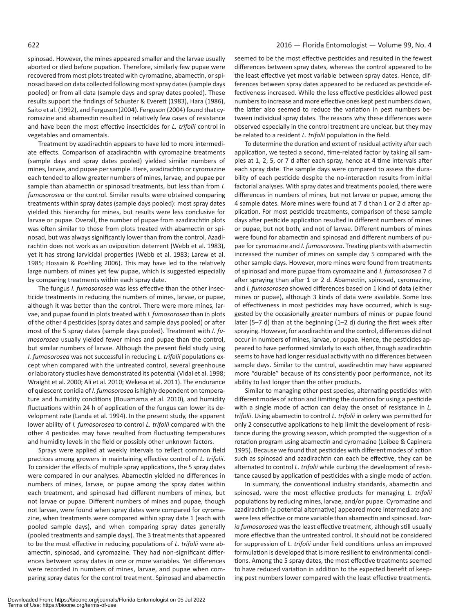spinosad. However, the mines appeared smaller and the larvae usually aborted or died before pupation. Therefore, similarly few pupae were recovered from most plots treated with cyromazine, abamectin, or spinosad based on data collected following most spray dates (sample days pooled) or from all data (sample days and spray dates pooled). These results support the findings of Schuster & Everett (1983), Hara (1986), Saito et al. (1992), and Ferguson (2004). Ferguson (2004) found that cyromazine and abamectin resulted in relatively few cases of resistance and have been the most effective insecticides for *L. trifolii* control in vegetables and ornamentals.

Treatment by azadirachtin appears to have led to more intermediate effects. Comparison of azadirachtin with cyromazine treatments (sample days and spray dates pooled) yielded similar numbers of mines, larvae, and pupae per sample. Here, azadirachtin or cyromazine each tended to allow greater numbers of mines, larvae, and pupae per sample than abamectin or spinosad treatments, but less than from *I. fumosorosea* or the control. Similar results were obtained comparing treatments within spray dates (sample days pooled): most spray dates yielded this hierarchy for mines, but results were less conclusive for larvae or pupae. Overall, the number of pupae from azadirachtin plots was often similar to those from plots treated with abamectin or spinosad, but was always significantly lower than from the control. Azadirachtin does not work as an oviposition deterrent (Webb et al. 1983), yet it has strong larvicidal properties (Webb et al. 1983; Larew et al. 1985; Hossain & Poehling 2006). This may have led to the relatively large numbers of mines yet few pupae, which is suggested especially by comparing treatments within each spray date.

The fungus *I. fumosorosea* was less effective than the other insecticide treatments in reducing the numbers of mines, larvae, or pupae, although it was better than the control. There were more mines, larvae, and pupae found in plots treated with *I. fumosorosea* than in plots of the other 4 pesticides (spray dates and sample days pooled) or after most of the 5 spray dates (sample days pooled). Treatment with *I. fumosorosea* usually yielded fewer mines and pupae than the control, but similar numbers of larvae. Although the present field study using *I. fumosorosea* was not successful in reducing *L. trifolii* populations except when compared with the untreated control, several greenhouse or laboratory studies have demonstrated its potential (Vidal et al. 1998; Wraight et al. 2000; Ali et al. 2010; Wekesa et al. 2011). The endurance of quiescent conidia of *I. fumosorosea* is highly dependent on temperature and humidity conditions (Bouamama et al. 2010), and humidity fluctuations within 24 h of application of the fungus can lower its development rate (Landa et al. 1994). In the present study, the apparent lower ability of *I. fumosorosea* to control *L. trifolii* compared with the other 4 pesticides may have resulted from fluctuating temperatures and humidity levels in the field or possibly other unknown factors*.*

Sprays were applied at weekly intervals to reflect common field practices among growers in maintaining effective control of *L. trifolii*. To consider the effects of multiple spray applications, the 5 spray dates were compared in our analyses. Abamectin yielded no differences in numbers of mines, larvae, or pupae among the spray dates within each treatment, and spinosad had different numbers of mines, but not larvae or pupae. Different numbers of mines and pupae, though not larvae, were found when spray dates were compared for cyromazine, when treatments were compared within spray date 1 (each with pooled sample days), and when comparing spray dates generally (pooled treatments and sample days). The 3 treatments that appeared to be the most effective in reducing populations of *L. trifolii* were abamectin, spinosad, and cyromazine. They had non-significant differences between spray dates in one or more variables. Yet differences were recorded in numbers of mines, larvae, and pupae when comparing spray dates for the control treatment. Spinosad and abamectin seemed to be the most effective pesticides and resulted in the fewest differences between spray dates, whereas the control appeared to be the least effective yet most variable between spray dates. Hence, differences between spray dates appeared to be reduced as pesticide effectiveness increased. While the less effective pesticides allowed pest numbers to increase and more effective ones kept pest numbers down, the latter also seemed to reduce the variation in pest numbers between individual spray dates. The reasons why these differences were observed especially in the control treatment are unclear, but they may be related to a resident *L. trifolii* population in the field.

To determine the duration and extent of residual activity after each application, we tested a second, time-related factor by taking all samples at 1, 2, 5, or 7 d after each spray, hence at 4 time intervals after each spray date. The sample days were compared to assess the durability of each pesticide despite the no-interaction results from initial factorial analyses. With spray dates and treatments pooled, there were differences in numbers of mines, but not larvae or pupae, among the 4 sample dates. More mines were found at 7 d than 1 or 2 d after application. For most pesticide treatments, comparison of these sample days after pesticide application resulted in different numbers of mines or pupae, but not both, and not of larvae. Different numbers of mines were found for abamectin and spinosad and different numbers of pupae for cyromazine and *I. fumosorosea*. Treating plants with abamectin increased the number of mines on sample day 5 compared with the other sample days. However, more mines were found from treatments of spinosad and more pupae from cyromazine and *I. fumosorosea* 7 d after spraying than after 1 or 2 d. Abamectin, spinosad, cyromazine, and *I. fumosorosea* showed differences based on 1 kind of data (either mines or pupae), although 3 kinds of data were available. Some loss of effectiveness in most pesticides may have occurred, which is suggested by the occasionally greater numbers of mines or pupae found later (5–7 d) than at the beginning (1–2 d) during the first week after spraying. However, for azadirachtin and the control, differences did not occur in numbers of mines, larvae, or pupae. Hence, the pesticides appeared to have performed similarly to each other, though azadirachtin seems to have had longer residual activity with no differences between sample days. Similar to the control, azadirachtin may have appeared more "durable" because of its consistently poor performance, not its ability to last longer than the other products.

Similar to managing other pest species, alternating pesticides with different modes of action and limiting the duration for using a pesticide with a single mode of action can delay the onset of resistance in *L. trifolii*. Using abamectin to control *L. trifolii* in celery was permitted for only 2 consecutive applications to help limit the development of resistance during the growing season, which prompted the suggestion of a rotation program using abamectin and cyromazine (Leibee & Capinera 1995). Because we found that pesticides with different modes of action such as spinosad and azadirachtin can each be effective, they can be alternated to control *L. trifolii* while curbing the development of resistance caused by application of pesticides with a single mode of action.

In summary, the conventional industry standards, abamectin and spinosad, were the most effective products for managing *L. trifolii* populations by reducing mines, larvae, and/or pupae. Cyromazine and azadirachtin (a potential alternative) appeared more intermediate and were less effective or more variable than abamectin and spinosad. *Isaria fumosorosea* was the least effective treatment, although still usually more effective than the untreated control. It should not be considered for suppression of *L. trifolii* under field conditions unless an improved formulation is developed that is more resilient to environmental conditions. Among the 5 spray dates, the most effective treatments seemed to have reduced variation in addition to the expected benefit of keeping pest numbers lower compared with the least effective treatments.